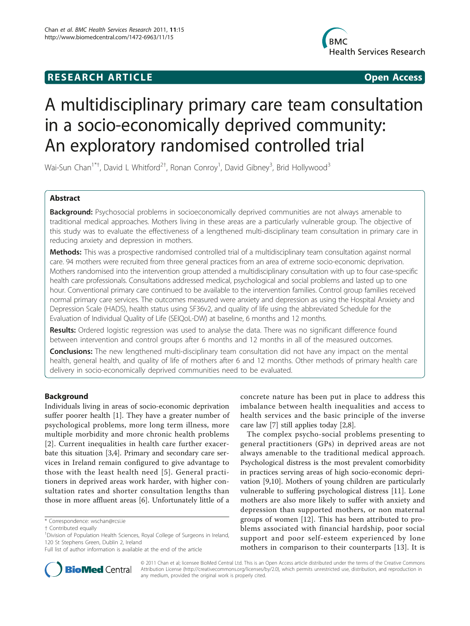# **RESEARCH ARTICLE Example 2018 CONSIDERING ACCESS**



# A multidisciplinary primary care team consultation in a socio-economically deprived community: An exploratory randomised controlled trial

Wai-Sun Chan<sup>1\*†</sup>, David L Whitford<sup>2†</sup>, Ronan Conroy<sup>1</sup>, David Gibney<sup>3</sup>, Brid Hollywood<sup>3</sup>

# Abstract

Background: Psychosocial problems in socioeconomically deprived communities are not always amenable to traditional medical approaches. Mothers living in these areas are a particularly vulnerable group. The objective of this study was to evaluate the effectiveness of a lengthened multi-disciplinary team consultation in primary care in reducing anxiety and depression in mothers.

Methods: This was a prospective randomised controlled trial of a multidisciplinary team consultation against normal care. 94 mothers were recruited from three general practices from an area of extreme socio-economic deprivation. Mothers randomised into the intervention group attended a multidisciplinary consultation with up to four case-specific health care professionals. Consultations addressed medical, psychological and social problems and lasted up to one hour. Conventional primary care continued to be available to the intervention families. Control group families received normal primary care services. The outcomes measured were anxiety and depression as using the Hospital Anxiety and Depression Scale (HADS), health status using SF36v2, and quality of life using the abbreviated Schedule for the Evaluation of Individual Quality of Life (SEIQoL-DW) at baseline, 6 months and 12 months.

Results: Ordered logistic regression was used to analyse the data. There was no significant difference found between intervention and control groups after 6 months and 12 months in all of the measured outcomes.

**Conclusions:** The new lengthened multi-disciplinary team consultation did not have any impact on the mental health, general health, and quality of life of mothers after 6 and 12 months. Other methods of primary health care delivery in socio-economically deprived communities need to be evaluated.

# **Background**

Individuals living in areas of socio-economic deprivation suffer poorer health [\[1](#page-6-0)]. They have a greater number of psychological problems, more long term illness, more multiple morbidity and more chronic health problems [[2](#page-6-0)]. Current inequalities in health care further exacerbate this situation [[3,4\]](#page-6-0). Primary and secondary care services in Ireland remain configured to give advantage to those with the least health need [[5](#page-6-0)]. General practitioners in deprived areas work harder, with higher consultation rates and shorter consultation lengths than those in more affluent areas [\[6](#page-6-0)]. Unfortunately little of a



The complex psycho-social problems presenting to general practitioners (GPs) in deprived areas are not always amenable to the traditional medical approach. Psychological distress is the most prevalent comorbidity in practices serving areas of high socio-economic deprivation [\[9](#page-7-0),[10](#page-7-0)]. Mothers of young children are particularly vulnerable to suffering psychological distress [\[11](#page-7-0)]. Lone mothers are also more likely to suffer with anxiety and depression than supported mothers, or non maternal groups of women [\[12](#page-7-0)]. This has been attributed to problems associated with financial hardship, poor social support and poor self-esteem experienced by lone mothers in comparison to their counterparts [[13\]](#page-7-0). It is



© 2011 Chan et al; licensee BioMed Central Ltd. This is an Open Access article distributed under the terms of the Creative Commons Attribution License [\(http://creativecommons.org/licenses/by/2.0](http://creativecommons.org/licenses/by/2.0)), which permits unrestricted use, distribution, and reproduction in any medium, provided the original work is properly cited.

<sup>\*</sup> Correspondence: [wschan@rcsi.ie](mailto:wschan@rcsi.ie)

<sup>†</sup> Contributed equally <sup>1</sup>

<sup>&</sup>lt;sup>1</sup> Division of Population Health Sciences, Royal College of Surgeons in Ireland, 120 St Stephens Green, Dublin 2, Ireland

Full list of author information is available at the end of the article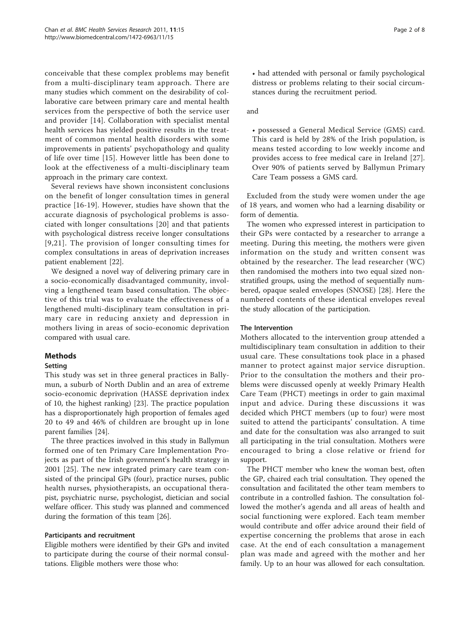conceivable that these complex problems may benefit from a multi-disciplinary team approach. There are many studies which comment on the desirability of collaborative care between primary care and mental health services from the perspective of both the service user and provider [[14\]](#page-7-0). Collaboration with specialist mental health services has yielded positive results in the treatment of common mental health disorders with some improvements in patients' psychopathology and quality of life over time [[15](#page-7-0)]. However little has been done to look at the effectiveness of a multi-disciplinary team approach in the primary care context.

Several reviews have shown inconsistent conclusions on the benefit of longer consultation times in general practice [\[16-19](#page-7-0)]. However, studies have shown that the accurate diagnosis of psychological problems is associated with longer consultations [[20](#page-7-0)] and that patients with psychological distress receive longer consultations [[9,21\]](#page-7-0). The provision of longer consulting times for complex consultations in areas of deprivation increases patient enablement [[22](#page-7-0)].

We designed a novel way of delivering primary care in a socio-economically disadvantaged community, involving a lengthened team based consultation. The objective of this trial was to evaluate the effectiveness of a lengthened multi-disciplinary team consultation in primary care in reducing anxiety and depression in mothers living in areas of socio-economic deprivation compared with usual care.

# Methods

# Setting

This study was set in three general practices in Ballymun, a suburb of North Dublin and an area of extreme socio-economic deprivation (HASSE deprivation index of 10, the highest ranking) [[23\]](#page-7-0). The practice population has a disproportionately high proportion of females aged 20 to 49 and 46% of children are brought up in lone parent families [[24](#page-7-0)].

The three practices involved in this study in Ballymun formed one of ten Primary Care Implementation Projects as part of the Irish government's health strategy in 2001 [[25\]](#page-7-0). The new integrated primary care team consisted of the principal GPs (four), practice nurses, public health nurses, physiotherapists, an occupational therapist, psychiatric nurse, psychologist, dietician and social welfare officer. This study was planned and commenced during the formation of this team [[26\]](#page-7-0).

# Participants and recruitment

Eligible mothers were identified by their GPs and invited to participate during the course of their normal consultations. Eligible mothers were those who:

• had attended with personal or family psychological distress or problems relating to their social circumstances during the recruitment period.

and

• possessed a General Medical Service (GMS) card. This card is held by 28% of the Irish population, is means tested according to low weekly income and provides access to free medical care in Ireland [\[27](#page-7-0)]. Over 90% of patients served by Ballymun Primary Care Team possess a GMS card.

Excluded from the study were women under the age of 18 years, and women who had a learning disability or form of dementia.

The women who expressed interest in participation to their GPs were contacted by a researcher to arrange a meeting. During this meeting, the mothers were given information on the study and written consent was obtained by the researcher. The lead researcher (WC) then randomised the mothers into two equal sized nonstratified groups, using the method of sequentially numbered, opaque sealed envelopes (SNOSE) [\[28\]](#page-7-0). Here the numbered contents of these identical envelopes reveal the study allocation of the participation.

# The Intervention

Mothers allocated to the intervention group attended a multidisciplinary team consultation in addition to their usual care. These consultations took place in a phased manner to protect against major service disruption. Prior to the consultation the mothers and their problems were discussed openly at weekly Primary Health Care Team (PHCT) meetings in order to gain maximal input and advice. During these discussions it was decided which PHCT members (up to four) were most suited to attend the participants' consultation. A time and date for the consultation was also arranged to suit all participating in the trial consultation. Mothers were encouraged to bring a close relative or friend for support.

The PHCT member who knew the woman best, often the GP, chaired each trial consultation. They opened the consultation and facilitated the other team members to contribute in a controlled fashion. The consultation followed the mother's agenda and all areas of health and social functioning were explored. Each team member would contribute and offer advice around their field of expertise concerning the problems that arose in each case. At the end of each consultation a management plan was made and agreed with the mother and her family. Up to an hour was allowed for each consultation.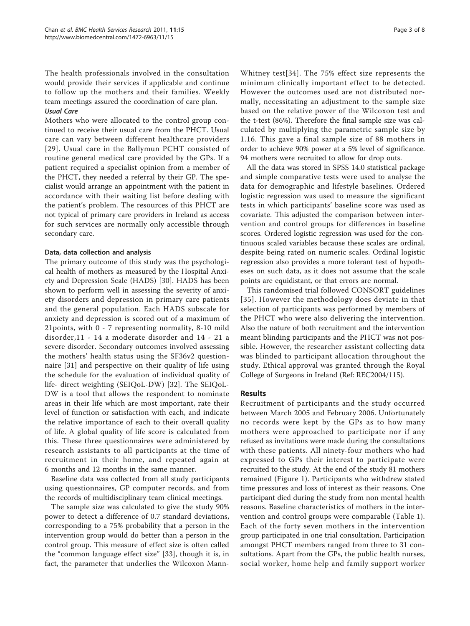The health professionals involved in the consultation would provide their services if applicable and continue to follow up the mothers and their families. Weekly team meetings assured the coordination of care plan.

# Usual Care

Mothers who were allocated to the control group continued to receive their usual care from the PHCT. Usual care can vary between different healthcare providers [[29\]](#page-7-0). Usual care in the Ballymun PCHT consisted of routine general medical care provided by the GPs. If a patient required a specialist opinion from a member of the PHCT, they needed a referral by their GP. The specialist would arrange an appointment with the patient in accordance with their waiting list before dealing with the patient's problem. The resources of this PHCT are not typical of primary care providers in Ireland as access for such services are normally only accessible through secondary care.

# Data, data collection and analysis

The primary outcome of this study was the psychological health of mothers as measured by the Hospital Anxiety and Depression Scale (HADS) [[30\]](#page-7-0). HADS has been shown to perform well in assessing the severity of anxiety disorders and depression in primary care patients and the general population. Each HADS subscale for anxiety and depression is scored out of a maximum of 21points, with 0 - 7 representing normality, 8-10 mild disorder,11 - 14 a moderate disorder and 14 - 21 a severe disorder. Secondary outcomes involved assessing the mothers' health status using the SF36v2 questionnaire [[31\]](#page-7-0) and perspective on their quality of life using the schedule for the evaluation of individual quality of life- direct weighting (SEIQoL-DW) [\[32](#page-7-0)]. The SEIQoL-DW is a tool that allows the respondent to nominate areas in their life which are most important, rate their level of function or satisfaction with each, and indicate the relative importance of each to their overall quality of life. A global quality of life score is calculated from this. These three questionnaires were administered by research assistants to all participants at the time of recruitment in their home, and repeated again at 6 months and 12 months in the same manner.

Baseline data was collected from all study participants using questionnaires, GP computer records, and from the records of multidisciplinary team clinical meetings.

The sample size was calculated to give the study 90% power to detect a difference of 0.7 standard deviations, corresponding to a 75% probability that a person in the intervention group would do better than a person in the control group. This measure of effect size is often called the "common language effect size" [[33](#page-7-0)], though it is, in fact, the parameter that underlies the Wilcoxon Mann-

Whitney test[\[34\]](#page-7-0). The 75% effect size represents the minimum clinically important effect to be detected. However the outcomes used are not distributed normally, necessitating an adjustment to the sample size based on the relative power of the Wilcoxon test and the t-test (86%). Therefore the final sample size was calculated by multiplying the parametric sample size by 1.16. This gave a final sample size of 88 mothers in order to achieve 90% power at a 5% level of significance.

94 mothers were recruited to allow for drop outs. All the data was stored in SPSS 14.0 statistical package and simple comparative tests were used to analyse the data for demographic and lifestyle baselines. Ordered logistic regression was used to measure the significant tests in which participants' baseline score was used as covariate. This adjusted the comparison between intervention and control groups for differences in baseline scores. Ordered logistic regression was used for the continuous scaled variables because these scales are ordinal, despite being rated on numeric scales. Ordinal logistic regression also provides a more tolerant test of hypotheses on such data, as it does not assume that the scale points are equidistant, or that errors are normal.

This randomised trial followed CONSORT guidelines [[35](#page-7-0)]. However the methodology does deviate in that selection of participants was performed by members of the PHCT who were also delivering the intervention. Also the nature of both recruitment and the intervention meant blinding participants and the PHCT was not possible. However, the researcher assistant collecting data was blinded to participant allocation throughout the study. Ethical approval was granted through the Royal College of Surgeons in Ireland (Ref: REC2004/115).

### Results

Recruitment of participants and the study occurred between March 2005 and February 2006. Unfortunately no records were kept by the GPs as to how many mothers were approached to participate nor if any refused as invitations were made during the consultations with these patients. All ninety-four mothers who had expressed to GPs their interest to participate were recruited to the study. At the end of the study 81 mothers remained (Figure [1\)](#page-3-0). Participants who withdrew stated time pressures and loss of interest as their reasons. One participant died during the study from non mental health reasons. Baseline characteristics of mothers in the intervention and control groups were comparable (Table [1](#page-4-0)). Each of the forty seven mothers in the intervention group participated in one trial consultation. Participation amongst PHCT members ranged from three to 31 consultations. Apart from the GPs, the public health nurses, social worker, home help and family support worker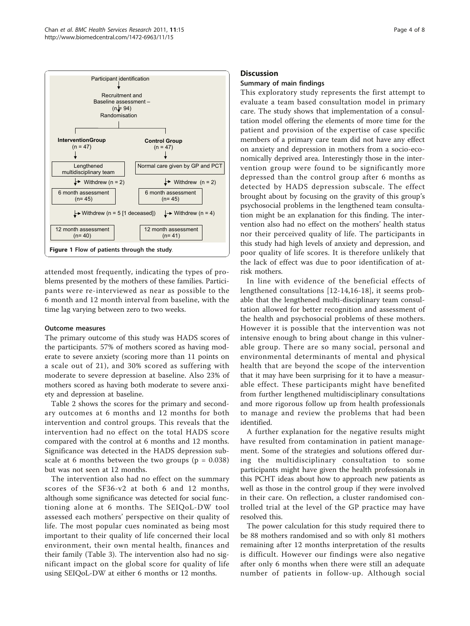<span id="page-3-0"></span>

attended most frequently, indicating the types of problems presented by the mothers of these families. Participants were re-interviewed as near as possible to the 6 month and 12 month interval from baseline, with the time lag varying between zero to two weeks.

#### Outcome measures

The primary outcome of this study was HADS scores of the participants. 57% of mothers scored as having moderate to severe anxiety (scoring more than 11 points on a scale out of 21), and 30% scored as suffering with moderate to severe depression at baseline. Also 23% of mothers scored as having both moderate to severe anxiety and depression at baseline.

Table [2](#page-5-0) shows the scores for the primary and secondary outcomes at 6 months and 12 months for both intervention and control groups. This reveals that the intervention had no effect on the total HADS score compared with the control at 6 months and 12 months. Significance was detected in the HADS depression subscale at 6 months between the two groups ( $p = 0.038$ ) but was not seen at 12 months.

The intervention also had no effect on the summary scores of the SF36-v2 at both 6 and 12 months, although some significance was detected for social functioning alone at 6 months. The SEIQoL-DW tool assessed each mothers' perspective on their quality of life. The most popular cues nominated as being most important to their quality of life concerned their local environment, their own mental health, finances and their family (Table [3](#page-6-0)). The intervention also had no significant impact on the global score for quality of life using SEIQoL-DW at either 6 months or 12 months.

#### **Discussion**

# Summary of main findings

This exploratory study represents the first attempt to evaluate a team based consultation model in primary care. The study shows that implementation of a consultation model offering the elements of more time for the patient and provision of the expertise of case specific members of a primary care team did not have any effect on anxiety and depression in mothers from a socio-economically deprived area. Interestingly those in the intervention group were found to be significantly more depressed than the control group after 6 months as detected by HADS depression subscale. The effect brought about by focusing on the gravity of this group's psychosocial problems in the lengthened team consultation might be an explanation for this finding. The intervention also had no effect on the mothers' health status nor their perceived quality of life. The participants in this study had high levels of anxiety and depression, and poor quality of life scores. It is therefore unlikely that the lack of effect was due to poor identification of atrisk mothers.

In line with evidence of the beneficial effects of lengthened consultations [[12-14,16](#page-7-0)-[18\]](#page-7-0), it seems probable that the lengthened multi-disciplinary team consultation allowed for better recognition and assessment of the health and psychosocial problems of these mothers. However it is possible that the intervention was not intensive enough to bring about change in this vulnerable group. There are so many social, personal and environmental determinants of mental and physical health that are beyond the scope of the intervention that it may have been surprising for it to have a measurable effect. These participants might have benefited from further lengthened multidisciplinary consultations and more rigorous follow up from health professionals to manage and review the problems that had been identified.

A further explanation for the negative results might have resulted from contamination in patient management. Some of the strategies and solutions offered during the multidisciplinary consultation to some participants might have given the health professionals in this PCHT ideas about how to approach new patients as well as those in the control group if they were involved in their care. On reflection, a cluster randomised controlled trial at the level of the GP practice may have resolved this.

The power calculation for this study required there to be 88 mothers randomised and so with only 81 mothers remaining after 12 months interpretation of the results is difficult. However our findings were also negative after only 6 months when there were still an adequate number of patients in follow-up. Although social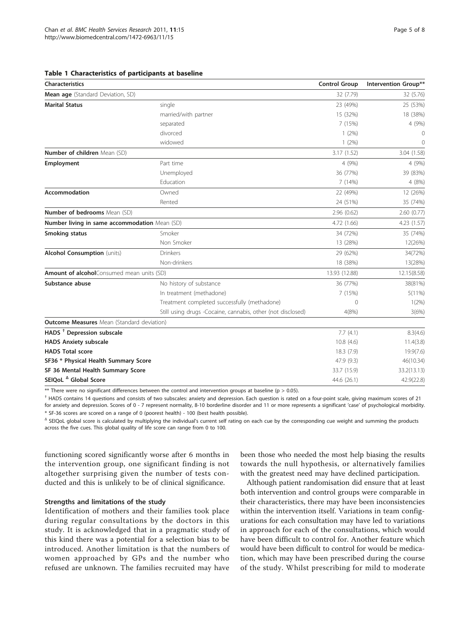| <b>Characteristics</b>                            |                                                             | <b>Control Group</b> | Intervention Group** |  |
|---------------------------------------------------|-------------------------------------------------------------|----------------------|----------------------|--|
| Mean age (Standard Deviation, SD)                 |                                                             | 32 (7.79)            | 32 (5.76)            |  |
| <b>Marital Status</b>                             | single                                                      | 23 (49%)             | 25 (53%)             |  |
|                                                   | married/with partner                                        | 15 (32%)             | 18 (38%)             |  |
|                                                   | separated                                                   | 7 (15%)              | 4 (9%)               |  |
|                                                   | divorced                                                    | $1(2\%)$             | $\Omega$             |  |
|                                                   | widowed                                                     | $1(2\%)$             | 0                    |  |
| Number of children Mean (SD)                      |                                                             | 3.17(1.52)           | 3.04 (1.58)          |  |
| Employment                                        | Part time                                                   | 4 (9%)               | 4 (9%)               |  |
|                                                   | Unemployed                                                  | 36 (77%)             | 39 (83%)             |  |
|                                                   | Education                                                   | 7(14%)               | 4 (8%)               |  |
| Accommodation                                     | Owned                                                       | 22 (49%)             | 12 (26%)             |  |
|                                                   | Rented                                                      | 24 (51%)             | 35 (74%)             |  |
| Number of bedrooms Mean (SD)                      |                                                             | 2.96(0.62)           | 2.60(0.77)           |  |
| Number living in same accommodation Mean (SD)     |                                                             | 4.72 (1.66)          | 4.23(1.57)           |  |
| Smoking status                                    | Smoker                                                      | 34 (72%)             | 35 (74%)             |  |
|                                                   | Non Smoker                                                  | 13 (28%)             | 12(26%)              |  |
| <b>Alcohol Consumption (units)</b>                | Drinkers                                                    | 29 (62%)             | 34(72%)              |  |
|                                                   | Non-drinkers                                                | 18 (38%)             | 13(28%)              |  |
| Amount of alcoholConsumed mean units (SD)         |                                                             | 13.93 (12.88)        | 12.15(8.58)          |  |
| Substance abuse                                   | No history of substance                                     | 36 (77%)             | 38(81%)              |  |
|                                                   | In treatment (methadone)                                    | 7(15%)               | $5(11\%)$            |  |
|                                                   | Treatment completed successfully (methadone)                | $\mathbf{0}$         | 1(2%)                |  |
|                                                   | Still using drugs -Cocaine, cannabis, other (not disclosed) | 4(8%)                | 3(6%)                |  |
| <b>Outcome Measures</b> Mean (Standard deviation) |                                                             |                      |                      |  |
| HADS <sup>+</sup> Depression subscale             |                                                             | 7.7(4.1)             | 8.3(4.6)             |  |
| <b>HADS Anxiety subscale</b>                      |                                                             | 10.8(4.6)            | 11.4(3.8)            |  |
| <b>HADS Total score</b>                           |                                                             | 18.3 (7.9)           | 19.9(7.6)            |  |
| SF36 * Physical Health Summary Score              |                                                             | 47.9 (9.3)           | 46(10.34)            |  |
| SF 36 Mental Health Summary Score                 |                                                             | 33.7 (15.9)          | 33.2(13.13)          |  |
| SEIQoL <sup>^</sup> Global Score                  |                                                             | 44.6 (26.1)          | 42.9(22.8)           |  |

#### <span id="page-4-0"></span>Table 1 Characteristics of participants at baseline

\*\* There were no significant differences between the control and intervention groups at baseline (p > 0.05).

 $^{\dagger}$  HADS contains 14 questions and consists of two subscales: anxiety and depression. Each question is rated on a four-point scale, giving maximum scores of 21 for anxiety and depression. Scores of 0 - 7 represent normality, 8-10 borderline disorder and 11 or more represents a significant 'case' of psychological morbidity. \* SF-36 scores are scored on a range of 0 (poorest health) - 100 (best health possible).

<sup>Δ</sup> SEIQoL global score is calculated by multiplying the individual's current self rating on each cue by the corresponding cue weight and summing the products across the five cues. This global quality of life score can range from 0 to 100.

functioning scored significantly worse after 6 months in the intervention group, one significant finding is not altogether surprising given the number of tests conducted and this is unlikely to be of clinical significance.

#### Strengths and limitations of the study

Identification of mothers and their families took place during regular consultations by the doctors in this study. It is acknowledged that in a pragmatic study of this kind there was a potential for a selection bias to be introduced. Another limitation is that the numbers of women approached by GPs and the number who refused are unknown. The families recruited may have

been those who needed the most help biasing the results towards the null hypothesis, or alternatively families with the greatest need may have declined participation.

Although patient randomisation did ensure that at least both intervention and control groups were comparable in their characteristics, there may have been inconsistencies within the intervention itself. Variations in team configurations for each consultation may have led to variations in approach for each of the consultations, which would have been difficult to control for. Another feature which would have been difficult to control for would be medication, which may have been prescribed during the course of the study. Whilst prescribing for mild to moderate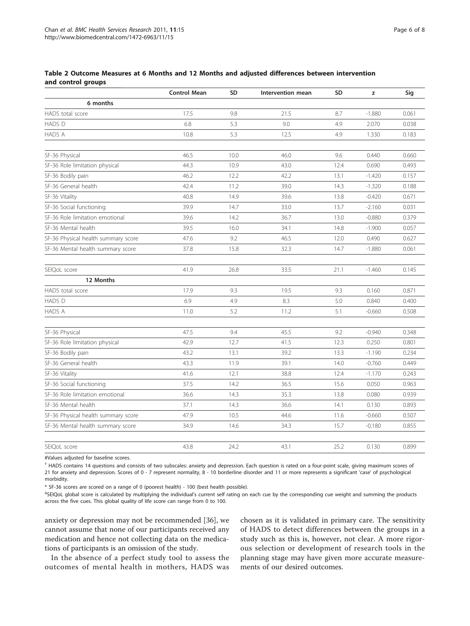<span id="page-5-0"></span>

|                                     | <b>Control Mean</b> | SD   | Intervention mean | SD   | z        | Sig   |
|-------------------------------------|---------------------|------|-------------------|------|----------|-------|
| 6 months                            |                     |      |                   |      |          |       |
| HADS total score                    | 17.5                | 9.8  | 21.5              | 8.7  | $-1.880$ | 0.061 |
| HADS D                              | 6.8                 | 5.3  | 9.0               | 4.9  | 2.070    | 0.038 |
| HADS A                              | 10.8                | 5.3  | 12.5              | 4.9  | 1.330    | 0.183 |
| SF-36 Physical                      | 46.5                | 10.0 | 46.0              | 9.6  | 0.440    | 0.660 |
| SF-36 Role limitation physical      | 44.3                | 10.9 | 43.0              | 12.4 | 0.690    | 0.493 |
| SF-36 Bodily pain                   | 46.2                | 12.2 | 42.2              | 13.1 | $-1.420$ | 0.157 |
| SF-36 General health                | 42.4                | 11.2 | 39.0              | 14.3 | $-1.320$ | 0.188 |
| SF-36 Vitality                      | 40.8                | 14.9 | 39.6              | 13.8 | $-0.420$ | 0.671 |
| SF-36 Social functioning            | 39.9                | 14.7 | 33.0              | 13.7 | $-2.160$ | 0.031 |
| SF-36 Role limitation emotional     | 39.6                | 14.2 | 36.7              | 13.0 | $-0.880$ | 0.379 |
| SF-36 Mental health                 | 39.5                | 16.0 | 34.1              | 14.8 | $-1.900$ | 0.057 |
| SF-36 Physical health summary score | 47.6                | 9.2  | 46.5              | 12.0 | 0.490    | 0.627 |
| SF-36 Mental health summary score   | 37.8                | 15.8 | 32.3              | 14.7 | $-1.880$ | 0.061 |
| SEIQoL score                        | 41.9                | 26.8 | 33.5              | 21.1 | $-1.460$ | 0.145 |
| 12 Months                           |                     |      |                   |      |          |       |
| HADS total score                    | 17.9                | 9.3  | 19.5              | 9.3  | 0.160    | 0.871 |
| HADS D                              | 6.9                 | 4.9  | 8.3               | 5.0  | 0.840    | 0.400 |
| HADS A                              | 11.0                | 5.2  | 11.2              | 5.1  | $-0.660$ | 0.508 |
| SF-36 Physical                      | 47.5                | 9.4  | 45.5              | 9.2  | $-0.940$ | 0.348 |
| SF-36 Role limitation physical      | 42.9                | 12.7 | 41.5              | 12.3 | 0.250    | 0.801 |
| SF-36 Bodily pain                   | 43.2                | 13.1 | 39.2              | 13.3 | $-1.190$ | 0.234 |
| SF-36 General health                | 43.3                | 11.9 | 39.1              | 14.0 | $-0.760$ | 0.449 |
| SF-36 Vitality                      | 41.6                | 12.1 | 38.8              | 12.4 | $-1.170$ | 0.243 |
| SF-36 Social functioning            | 37.5                | 14.2 | 36.5              | 15.6 | 0.050    | 0.963 |
| SF-36 Role limitation emotional     | 36.6                | 14.3 | 35.3              | 13.8 | 0.080    | 0.939 |
| SF-36 Mental health                 | 37.1                | 14.3 | 36.6              | 14.1 | 0.130    | 0.893 |
| SF-36 Physical health summary score | 47.9                | 10.5 | 44.6              | 11.6 | $-0.660$ | 0.507 |
| SF-36 Mental health summary score   | 34.9                | 14.6 | 34.3              | 15.7 | $-0.180$ | 0.855 |
| SEIQoL score                        | 43.8                | 24.2 | 43.1              | 25.2 | 0.130    | 0.899 |

#Values adjusted for baseline scores.

† HADS contains 14 questions and consists of two subscales: anxiety and depression. Each question is rated on a four-point scale, giving maximum scores of 21 for anxiety and depression. Scores of 0 - 7 represent normality, 8 - 10 borderline disorder and 11 or more represents a significant 'case' of psychological morbidity.

\* SF-36 scores are scored on a range of 0 (poorest health) - 100 (best health possible).

ASEIQoL global score is calculated by multiplying the individual's current self rating on each cue by the corresponding cue weight and summing the products across the five cues. This global quality of life score can range from 0 to 100.

anxiety or depression may not be recommended [\[36](#page-7-0)], we cannot assume that none of our participants received any medication and hence not collecting data on the medications of participants is an omission of the study.

In the absence of a perfect study tool to assess the outcomes of mental health in mothers, HADS was

chosen as it is validated in primary care. The sensitivity of HADS to detect differences between the groups in a study such as this is, however, not clear. A more rigorous selection or development of research tools in the planning stage may have given more accurate measurements of our desired outcomes.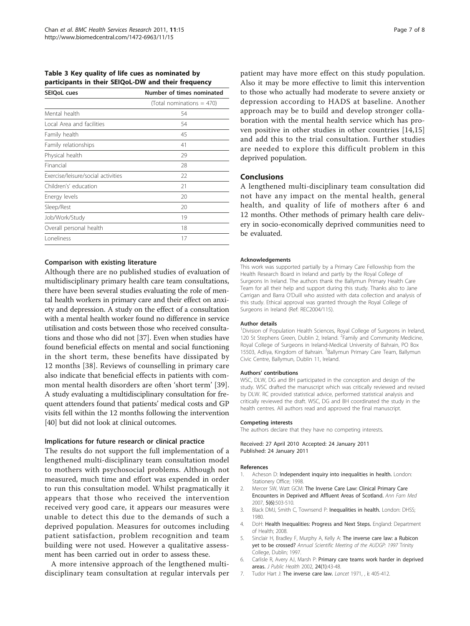<span id="page-6-0"></span>Table 3 Key quality of life cues as nominated by participants in their SEIQoL-DW and their frequency

| SEIQoL cues                        | Number of times nominated   |  |  |  |
|------------------------------------|-----------------------------|--|--|--|
|                                    | (Total nominations $=$ 470) |  |  |  |
| Mental health                      | 54                          |  |  |  |
| Local Area and facilities          | 54                          |  |  |  |
| Family health                      | 45                          |  |  |  |
| Family relationships               | 41                          |  |  |  |
| Physical health                    | 29                          |  |  |  |
| Financial                          | 28                          |  |  |  |
| Exercise/leisure/social activities | 22                          |  |  |  |
| Children's' education              | 21                          |  |  |  |
| Energy levels                      | 20                          |  |  |  |
| Sleep/Rest                         | 20                          |  |  |  |
| Job/Work/Study                     | 19                          |  |  |  |
| Overall personal health            | 18                          |  |  |  |
| Loneliness                         | 17                          |  |  |  |

# Comparison with existing literature

Although there are no published studies of evaluation of multidisciplinary primary health care team consultations, there have been several studies evaluating the role of mental health workers in primary care and their effect on anxiety and depression. A study on the effect of a consultation with a mental health worker found no difference in service utilisation and costs between those who received consultations and those who did not [[37](#page-7-0)]. Even when studies have found beneficial effects on mental and social functioning in the short term, these benefits have dissipated by 12 months [[38](#page-7-0)]. Reviews of counselling in primary care also indicate that beneficial effects in patients with common mental health disorders are often 'short term' [[39](#page-7-0)]. A study evaluating a multidisciplinary consultation for frequent attenders found that patients' medical costs and GP visits fell within the 12 months following the intervention [[40](#page-7-0)] but did not look at clinical outcomes.

#### Implications for future research or clinical practice

The results do not support the full implementation of a lengthened multi-disciplinary team consultation model to mothers with psychosocial problems. Although not measured, much time and effort was expended in order to run this consultation model. Whilst pragmatically it appears that those who received the intervention received very good care, it appears our measures were unable to detect this due to the demands of such a deprived population. Measures for outcomes including patient satisfaction, problem recognition and team building were not used. However a qualitative assessment has been carried out in order to assess these.

A more intensive approach of the lengthened multidisciplinary team consultation at regular intervals per

patient may have more effect on this study population. Also it may be more effective to limit this intervention to those who actually had moderate to severe anxiety or depression according to HADS at baseline. Another approach may be to build and develop stronger collaboration with the mental health service which has proven positive in other studies in other countries [[14,15](#page-7-0)] and add this to the trial consultation. Further studies are needed to explore this difficult problem in this deprived population.

#### Conclusions

A lengthened multi-disciplinary team consultation did not have any impact on the mental health, general health, and quality of life of mothers after 6 and 12 months. Other methods of primary health care delivery in socio-economically deprived communities need to be evaluated.

#### Acknowledgements

This work was supported partially by a Primary Care Fellowship from the Health Research Board in Ireland and partly by the Royal College of Surgeons In Ireland. The authors thank the Ballymun Primary Health Care Team for all their help and support during this study. Thanks also to Jane Carrigan and Barra O'Duill who assisted with data collection and analysis of this study. Ethical approval was granted through the Royal College of Surgeons in Ireland (Ref: REC2004/115).

#### Author details

<sup>1</sup> Division of Population Health Sciences, Royal College of Surgeons in Ireland 120 St Stephens Green, Dublin 2, Ireland. <sup>2</sup> Family and Community Medicine, Royal College of Surgeons in Ireland-Medical University of Bahrain, PO Box 15503, Adliya, Kingdom of Bahrain. <sup>3</sup>Ballymun Primary Care Team, Ballymun Civic Centre, Ballymun, Dublin 11, Ireland.

#### Authors' contributions

WSC, DLW, DG and BH participated in the conception and design of the study. WSC drafted the manuscript which was critically reviewed and revised by DLW. RC provided statistical advice, performed statistical analysis and critically reviewed the draft. WSC, DG and BH coordinated the study in the health centres. All authors read and approved the final manuscript.

#### Competing interests

The authors declare that they have no competing interests.

Received: 27 April 2010 Accepted: 24 January 2011 Published: 24 January 2011

#### References

- 1. Acheson D: Independent inquiry into inequalities in health. London: Stationery Office; 1998.
- 2. Mercer SW, Watt GCM: [The Inverse Care Law: Clinical Primary Care](http://www.ncbi.nlm.nih.gov/pubmed/18025487?dopt=Abstract) [Encounters in Deprived and Affluent Areas of Scotland.](http://www.ncbi.nlm.nih.gov/pubmed/18025487?dopt=Abstract) Ann Fam Med 2007, 5(6):503-510.
- 3. Black DMJ, Smith C, Townsend P: Inequalities in health. London: DHSS; 1980.
- 4. DoH: Health Inequalities: Progress and Next Steps. England: Department of Health; 2008.
- Sinclair H, Bradley F, Murphy A, Kelly A: The inverse care law: a Rubicon yet to be crossed? Annual Scientific Meeting of the AUDGP: 1997 Trinity College, Dublin; 1997.
- 6. Carlisle R, Avery AJ, Marsh P: Primary care teams work harder in deprived areas. J Public Health 2002, 24(1):43-48.
- 7. Tudor Hart J: The inverse care law. Lancet 1971, , i: 405-412